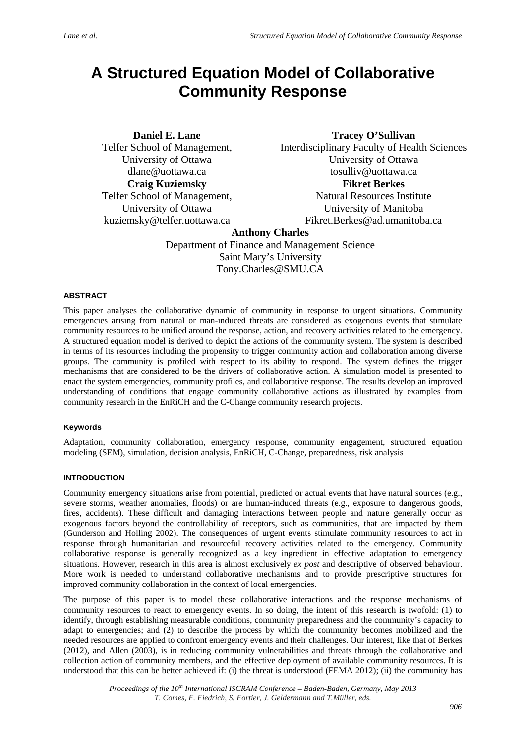# **A Structured Equation Model of Collaborative Community Response**

**Daniel E. Lane**  Telfer School of Management, University of Ottawa dlane@uottawa.ca **Craig Kuziemsky**  Telfer School of Management, University of Ottawa kuziemsky@telfer.uottawa.ca

**Tracey O'Sullivan**  Interdisciplinary Faculty of Health Sciences University of Ottawa

tosulliv@uottawa.ca

# **Fikret Berkes**

Natural Resources Institute University of Manitoba Fikret.Berkes@ad.umanitoba.ca

# **Anthony Charles**

Department of Finance and Management Science Saint Mary's University Tony.Charles@SMU.CA

# **ABSTRACT**

This paper analyses the collaborative dynamic of community in response to urgent situations. Community emergencies arising from natural or man-induced threats are considered as exogenous events that stimulate community resources to be unified around the response, action, and recovery activities related to the emergency. A structured equation model is derived to depict the actions of the community system. The system is described in terms of its resources including the propensity to trigger community action and collaboration among diverse groups. The community is profiled with respect to its ability to respond. The system defines the trigger mechanisms that are considered to be the drivers of collaborative action. A simulation model is presented to enact the system emergencies, community profiles, and collaborative response. The results develop an improved understanding of conditions that engage community collaborative actions as illustrated by examples from community research in the EnRiCH and the C-Change community research projects.

# **Keywords**

Adaptation, community collaboration, emergency response, community engagement, structured equation modeling (SEM), simulation, decision analysis, EnRiCH, C-Change, preparedness, risk analysis

# **INTRODUCTION**

Community emergency situations arise from potential, predicted or actual events that have natural sources (e.g., severe storms, weather anomalies, floods) or are human-induced threats (e.g., exposure to dangerous goods, fires, accidents). These difficult and damaging interactions between people and nature generally occur as exogenous factors beyond the controllability of receptors, such as communities, that are impacted by them (Gunderson and Holling 2002). The consequences of urgent events stimulate community resources to act in response through humanitarian and resourceful recovery activities related to the emergency. Community collaborative response is generally recognized as a key ingredient in effective adaptation to emergency situations. However, research in this area is almost exclusively *ex post* and descriptive of observed behaviour. More work is needed to understand collaborative mechanisms and to provide prescriptive structures for improved community collaboration in the context of local emergencies.

The purpose of this paper is to model these collaborative interactions and the response mechanisms of community resources to react to emergency events. In so doing, the intent of this research is twofold: (1) to identify, through establishing measurable conditions, community preparedness and the community's capacity to adapt to emergencies; and (2) to describe the process by which the community becomes mobilized and the needed resources are applied to confront emergency events and their challenges. Our interest, like that of Berkes (2012), and Allen (2003), is in reducing community vulnerabilities and threats through the collaborative and collection action of community members, and the effective deployment of available community resources. It is understood that this can be better achieved if: (i) the threat is understood (FEMA 2012); (ii) the community has

> *Proceedings of the 10th International ISCRAM Conference – Baden-Baden, Germany, May 2013 T. Comes, F. Fiedrich, S. Fortier, J. Geldermann and T.Müller, eds.*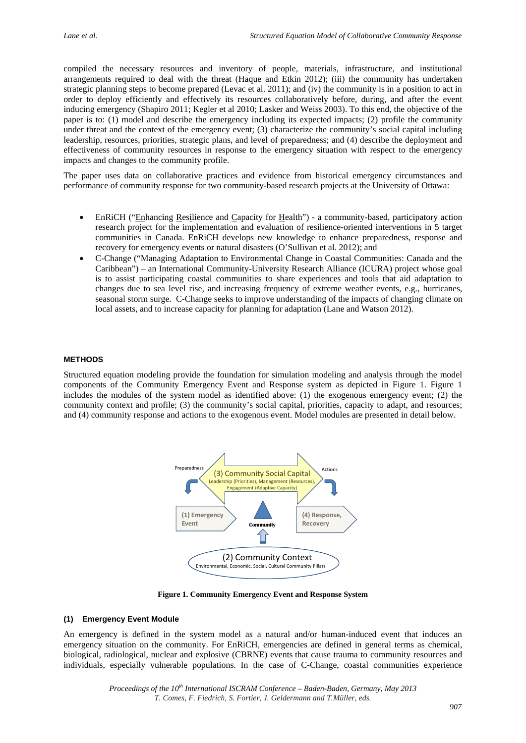compiled the necessary resources and inventory of people, materials, infrastructure, and institutional arrangements required to deal with the threat (Haque and Etkin 2012); (iii) the community has undertaken strategic planning steps to become prepared (Levac et al. 2011); and (iv) the community is in a position to act in order to deploy efficiently and effectively its resources collaboratively before, during, and after the event inducing emergency (Shapiro 2011; Kegler et al 2010; Lasker and Weiss 2003). To this end, the objective of the paper is to: (1) model and describe the emergency including its expected impacts; (2) profile the community under threat and the context of the emergency event; (3) characterize the community's social capital including leadership, resources, priorities, strategic plans, and level of preparedness; and (4) describe the deployment and effectiveness of community resources in response to the emergency situation with respect to the emergency impacts and changes to the community profile.

The paper uses data on collaborative practices and evidence from historical emergency circumstances and performance of community response for two community-based research projects at the University of Ottawa:

- EnRiCH ("Enhancing Resilience and Capacity for Health") a community-based, participatory action research project for the implementation and evaluation of resilience-oriented interventions in 5 target communities in Canada. EnRiCH develops new knowledge to enhance preparedness, response and recovery for emergency events or natural disasters (O'Sullivan et al. 2012); and
- C-Change ("Managing Adaptation to Environmental Change in Coastal Communities: Canada and the Caribbean") – an International Community-University Research Alliance (ICURA) project whose goal is to assist participating coastal communities to share experiences and tools that aid adaptation to changes due to sea level rise, and increasing frequency of extreme weather events, e.g., hurricanes, seasonal storm surge. C-Change seeks to improve understanding of the impacts of changing climate on local assets, and to increase capacity for planning for adaptation (Lane and Watson 2012).

## **METHODS**

Structured equation modeling provide the foundation for simulation modeling and analysis through the model components of the Community Emergency Event and Response system as depicted in Figure 1. Figure 1 includes the modules of the system model as identified above: (1) the exogenous emergency event; (2) the community context and profile; (3) the community's social capital, priorities, capacity to adapt, and resources; and (4) community response and actions to the exogenous event. Model modules are presented in detail below.



**Figure 1. Community Emergency Event and Response System** 

## **(1) Emergency Event Module**

An emergency is defined in the system model as a natural and/or human-induced event that induces an emergency situation on the community. For EnRiCH, emergencies are defined in general terms as chemical, biological, radiological, nuclear and explosive (CBRNE) events that cause trauma to community resources and individuals, especially vulnerable populations. In the case of C-Change, coastal communities experience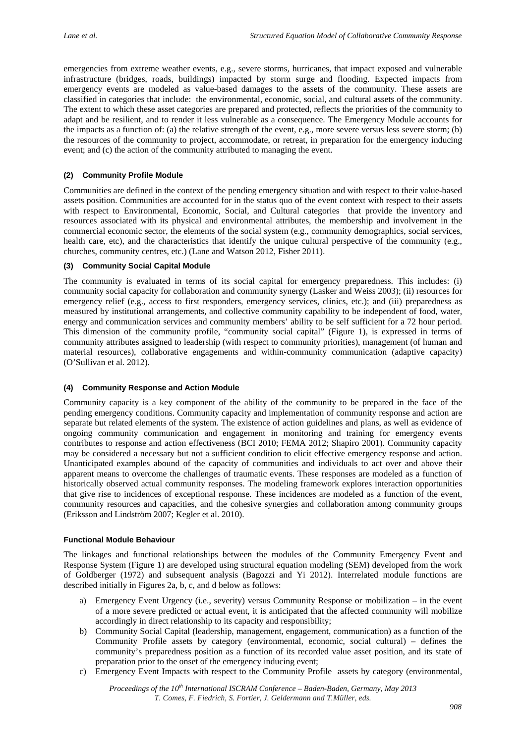emergencies from extreme weather events, e.g., severe storms, hurricanes, that impact exposed and vulnerable infrastructure (bridges, roads, buildings) impacted by storm surge and flooding. Expected impacts from emergency events are modeled as value-based damages to the assets of the community. These assets are classified in categories that include: the environmental, economic, social, and cultural assets of the community. The extent to which these asset categories are prepared and protected, reflects the priorities of the community to adapt and be resilient, and to render it less vulnerable as a consequence. The Emergency Module accounts for the impacts as a function of: (a) the relative strength of the event, e.g., more severe versus less severe storm; (b) the resources of the community to project, accommodate, or retreat, in preparation for the emergency inducing event; and (c) the action of the community attributed to managing the event.

# **(2) Community Profile Module**

Communities are defined in the context of the pending emergency situation and with respect to their value-based assets position. Communities are accounted for in the status quo of the event context with respect to their assets with respect to Environmental, Economic, Social, and Cultural categories that provide the inventory and resources associated with its physical and environmental attributes, the membership and involvement in the commercial economic sector, the elements of the social system (e.g., community demographics, social services, health care, etc), and the characteristics that identify the unique cultural perspective of the community (e.g., churches, community centres, etc.) (Lane and Watson 2012, Fisher 2011).

## **(3) Community Social Capital Module**

The community is evaluated in terms of its social capital for emergency preparedness. This includes: (i) community social capacity for collaboration and community synergy (Lasker and Weiss 2003); (ii) resources for emergency relief (e.g., access to first responders, emergency services, clinics, etc.); and (iii) preparedness as measured by institutional arrangements, and collective community capability to be independent of food, water, energy and communication services and community members' ability to be self sufficient for a 72 hour period. This dimension of the community profile, "community social capital" (Figure 1), is expressed in terms of community attributes assigned to leadership (with respect to community priorities), management (of human and material resources), collaborative engagements and within-community communication (adaptive capacity) (O'Sullivan et al. 2012).

## **(4) Community Response and Action Module**

Community capacity is a key component of the ability of the community to be prepared in the face of the pending emergency conditions. Community capacity and implementation of community response and action are separate but related elements of the system. The existence of action guidelines and plans, as well as evidence of ongoing community communication and engagement in monitoring and training for emergency events contributes to response and action effectiveness (BCI 2010; FEMA 2012; Shapiro 2001). Community capacity may be considered a necessary but not a sufficient condition to elicit effective emergency response and action. Unanticipated examples abound of the capacity of communities and individuals to act over and above their apparent means to overcome the challenges of traumatic events. These responses are modeled as a function of historically observed actual community responses. The modeling framework explores interaction opportunities that give rise to incidences of exceptional response. These incidences are modeled as a function of the event, community resources and capacities, and the cohesive synergies and collaboration among community groups (Eriksson and Lindström 2007; Kegler et al. 2010).

## **Functional Module Behaviour**

The linkages and functional relationships between the modules of the Community Emergency Event and Response System (Figure 1) are developed using structural equation modeling (SEM) developed from the work of Goldberger (1972) and subsequent analysis (Bagozzi and Yi 2012). Interrelated module functions are described initially in Figures 2a, b, c, and d below as follows:

- a) Emergency Event Urgency (i.e., severity) versus Community Response or mobilization in the event of a more severe predicted or actual event, it is anticipated that the affected community will mobilize accordingly in direct relationship to its capacity and responsibility;
- b) Community Social Capital (leadership, management, engagement, communication) as a function of the Community Profile assets by category (environmental, economic, social cultural) – defines the community's preparedness position as a function of its recorded value asset position, and its state of preparation prior to the onset of the emergency inducing event;
- c) Emergency Event Impacts with respect to the Community Profile assets by category (environmental,

*Proceedings of the 10th International ISCRAM Conference – Baden-Baden, Germany, May 2013 T. Comes, F. Fiedrich, S. Fortier, J. Geldermann and T.Müller, eds.*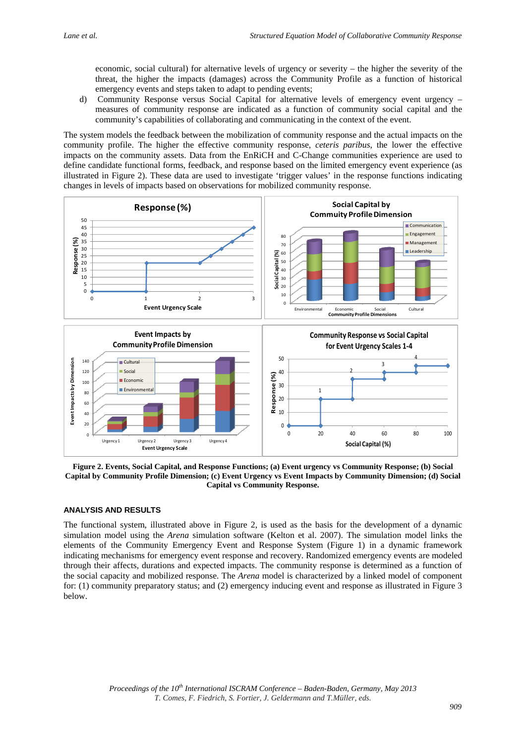economic, social cultural) for alternative levels of urgency or severity – the higher the severity of the threat, the higher the impacts (damages) across the Community Profile as a function of historical emergency events and steps taken to adapt to pending events;

d) Community Response versus Social Capital for alternative levels of emergency event urgency – measures of community response are indicated as a function of community social capital and the community's capabilities of collaborating and communicating in the context of the event.

The system models the feedback between the mobilization of community response and the actual impacts on the community profile. The higher the effective community response, *ceteris paribus*, the lower the effective impacts on the community assets. Data from the EnRiCH and C-Change communities experience are used to define candidate functional forms, feedback, and response based on the limited emergency event experience (as illustrated in Figure 2). These data are used to investigate 'trigger values' in the response functions indicating changes in levels of impacts based on observations for mobilized community response.



**Figure 2. Events, Social Capital, and Response Functions; (a) Event urgency vs Community Response; (b) Social Capital by Community Profile Dimension; (c) Event Urgency vs Event Impacts by Community Dimension; (d) Social Capital vs Community Response.** 

# **ANALYSIS AND RESULTS**

The functional system, illustrated above in Figure 2, is used as the basis for the development of a dynamic simulation model using the *Arena* simulation software (Kelton et al. 2007). The simulation model links the elements of the Community Emergency Event and Response System (Figure 1) in a dynamic framework indicating mechanisms for emergency event response and recovery. Randomized emergency events are modeled through their affects, durations and expected impacts. The community response is determined as a function of the social capacity and mobilized response. The *Arena* model is characterized by a linked model of component for: (1) community preparatory status; and (2) emergency inducing event and response as illustrated in Figure 3 below.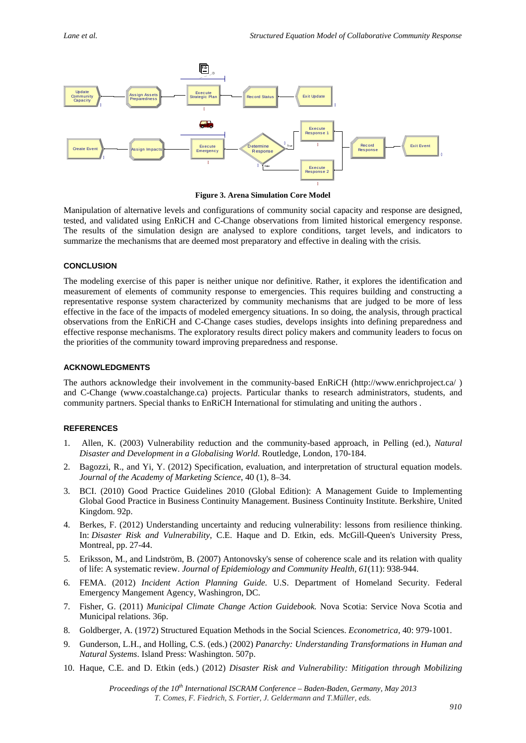

**Figure 3. Arena Simulation Core Model** 

Manipulation of alternative levels and configurations of community social capacity and response are designed, tested, and validated using EnRiCH and C-Change observations from limited historical emergency response. The results of the simulation design are analysed to explore conditions, target levels, and indicators to summarize the mechanisms that are deemed most preparatory and effective in dealing with the crisis.

## **CONCLUSION**

The modeling exercise of this paper is neither unique nor definitive. Rather, it explores the identification and measurement of elements of community response to emergencies. This requires building and constructing a representative response system characterized by community mechanisms that are judged to be more of less effective in the face of the impacts of modeled emergency situations. In so doing, the analysis, through practical observations from the EnRiCH and C-Change cases studies, develops insights into defining preparedness and effective response mechanisms. The exploratory results direct policy makers and community leaders to focus on the priorities of the community toward improving preparedness and response.

## **ACKNOWLEDGMENTS**

The authors acknowledge their involvement in the community-based EnRiCH (http://www.enrichproject.ca/ ) and C-Change (www.coastalchange.ca) projects. Particular thanks to research administrators, students, and community partners. Special thanks to EnRiCH International for stimulating and uniting the authors .

#### **REFERENCES**

- 1. Allen, K. (2003) Vulnerability reduction and the community-based approach, in Pelling (ed.), *Natural Disaster and Development in a Globalising World*. Routledge, London, 170-184.
- 2. Bagozzi, R., and Yi, Y. (2012) Specification, evaluation, and interpretation of structural equation models. *Journal of the Academy of Marketing Science*, 40 (1), 8–34.
- 3. BCI. (2010) Good Practice Guidelines 2010 (Global Edition): A Management Guide to Implementing Global Good Practice in Business Continuity Management. Business Continuity Institute. Berkshire, United Kingdom. 92p.
- 4. Berkes, F. (2012) Understanding uncertainty and reducing vulnerability: lessons from resilience thinking. In: *Disaster Risk and Vulnerability*, C.E. Haque and D. Etkin, eds. McGill-Queen's University Press, Montreal, pp. 27-44.
- 5. Eriksson, M., and Lindström, B. (2007) Antonovsky's sense of coherence scale and its relation with quality of life: A systematic review. *Journal of Epidemiology and Community Health, 61*(11): 938-944.
- 6. FEMA. (2012) *Incident Action Planning Guide.* U.S. Department of Homeland Security. Federal Emergency Mangement Agency, Washingron, DC.
- 7. Fisher, G. (2011) *Municipal Climate Change Action Guidebook.* Nova Scotia: Service Nova Scotia and Municipal relations. 36p.
- 8. Goldberger, A. (1972) Structured Equation Methods in the Social Sciences. *Econometrica*, 40: 979-1001.
- 9. Gunderson, L.H., and Holling, C.S. (eds.) (2002) *Panarchy: Understanding Transformations in Human and Natural Systems*. Island Press: Washington. 507p.
- 10. Haque, C.E. and D. Etkin (eds.) (2012) *Disaster Risk and Vulnerability: Mitigation through Mobilizing*